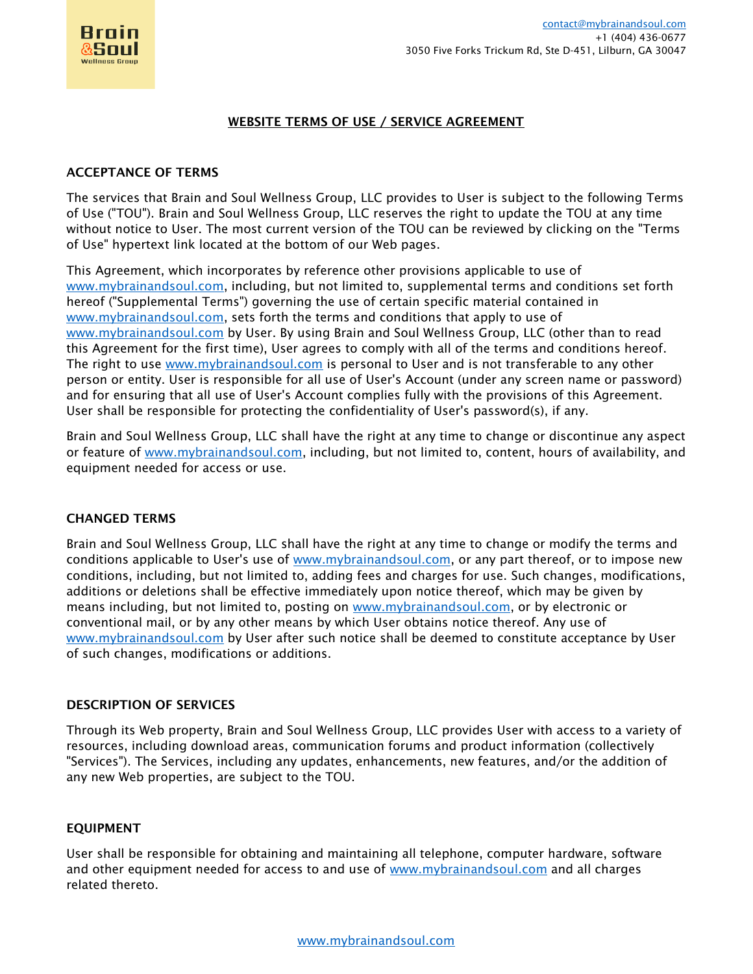

#### WEBSITE TERMS OF USE / SERVICE AGREEMENT

#### ACCEPTANCE OF TERMS

The services that Brain and Soul Wellness Group, LLC provides to User is subject to the following Terms of Use ("TOU"). Brain and Soul Wellness Group, LLC reserves the right to update the TOU at any time without notice to User. The most current version of the TOU can be reviewed by clicking on the "Terms of Use" hypertext link located at the bottom of our Web pages.

This Agreement, which incorporates by reference other provisions applicable to use of [www.mybrainandsoul.com,](http://www.mybrainandsoul.com/) including, but not limited to, supplemental terms and conditions set forth hereof ("Supplemental Terms") governing the use of certain specific material contained in [www.mybrainandsoul.com,](http://www.mybrainandsoul.com/) sets forth the terms and conditions that apply to use of [www.mybrainandsoul.com](http://www.mybrainandsoul.com/) by User. By using Brain and Soul Wellness Group, LLC (other than to read this Agreement for the first time), User agrees to comply with all of the terms and conditions hereof. The right to use [www.mybrainandsoul.com](http://www.mybrainandsoul.com/) is personal to User and is not transferable to any other person or entity. User is responsible for all use of User's Account (under any screen name or password) and for ensuring that all use of User's Account complies fully with the provisions of this Agreement. User shall be responsible for protecting the confidentiality of User's password(s), if any.

Brain and Soul Wellness Group, LLC shall have the right at any time to change or discontinue any aspect or feature of [www.mybrainandsoul.com,](http://www.mybrainandsoul.com/) including, but not limited to, content, hours of availability, and equipment needed for access or use.

### CHANGED TERMS

Brain and Soul Wellness Group, LLC shall have the right at any time to change or modify the terms and conditions applicable to User's use of [www.mybrainandsoul.com,](http://www.mybrainandsoul.com/) or any part thereof, or to impose new conditions, including, but not limited to, adding fees and charges for use. Such changes, modifications, additions or deletions shall be effective immediately upon notice thereof, which may be given by means including, but not limited to, posting on [www.mybrainandsoul.com,](http://www.mybrainandsoul.com/) or by electronic or conventional mail, or by any other means by which User obtains notice thereof. Any use of [www.mybrainandsoul.com](http://www.mybrainandsoul.com/) by User after such notice shall be deemed to constitute acceptance by User of such changes, modifications or additions.

#### DESCRIPTION OF SERVICES

Through its Web property, Brain and Soul Wellness Group, LLC provides User with access to a variety of resources, including download areas, communication forums and product information (collectively "Services"). The Services, including any updates, enhancements, new features, and/or the addition of any new Web properties, are subject to the TOU.

### EQUIPMENT

User shall be responsible for obtaining and maintaining all telephone, computer hardware, software and other equipment needed for access to and use of [www.mybrainandsoul.com](http://www.mybrainandsoul.com/) and all charges related thereto.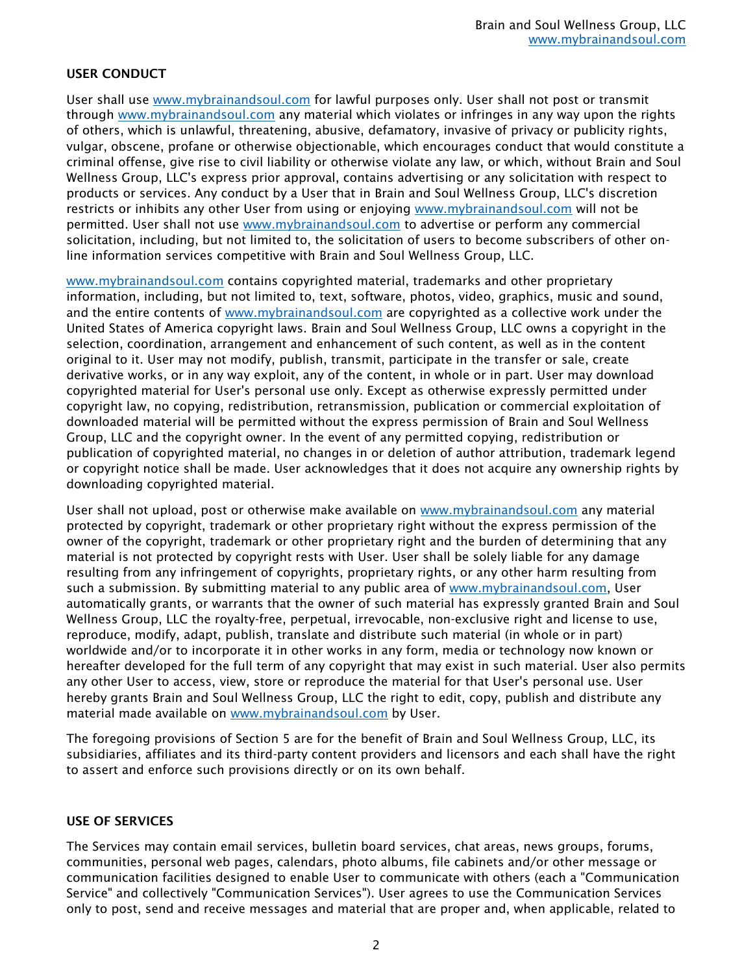# USER CONDUCT

User shall use [www.mybrainandsoul.com](http://www.mybrainandsoul.com/) for lawful purposes only. User shall not post or transmit through [www.mybrainandsoul.com](http://www.mybrainandsoul.com/) any material which violates or infringes in any way upon the rights of others, which is unlawful, threatening, abusive, defamatory, invasive of privacy or publicity rights, vulgar, obscene, profane or otherwise objectionable, which encourages conduct that would constitute a criminal offense, give rise to civil liability or otherwise violate any law, or which, without Brain and Soul Wellness Group, LLC's express prior approval, contains advertising or any solicitation with respect to products or services. Any conduct by a User that in Brain and Soul Wellness Group, LLC's discretion restricts or inhibits any other User from using or enjoying [www.mybrainandsoul.com](http://www.mybrainandsoul.com/) will not be permitted. User shall not use [www.mybrainandsoul.com](http://www.mybrainandsoul.com/) to advertise or perform any commercial solicitation, including, but not limited to, the solicitation of users to become subscribers of other online information services competitive with Brain and Soul Wellness Group, LLC.

[www.mybrainandsoul.com](http://www.mybrainandsoul.com/) contains copyrighted material, trademarks and other proprietary information, including, but not limited to, text, software, photos, video, graphics, music and sound, and the entire contents of [www.mybrainandsoul.com](http://www.mybrainandsoul.com/) are copyrighted as a collective work under the United States of America copyright laws. Brain and Soul Wellness Group, LLC owns a copyright in the selection, coordination, arrangement and enhancement of such content, as well as in the content original to it. User may not modify, publish, transmit, participate in the transfer or sale, create derivative works, or in any way exploit, any of the content, in whole or in part. User may download copyrighted material for User's personal use only. Except as otherwise expressly permitted under copyright law, no copying, redistribution, retransmission, publication or commercial exploitation of downloaded material will be permitted without the express permission of Brain and Soul Wellness Group, LLC and the copyright owner. In the event of any permitted copying, redistribution or publication of copyrighted material, no changes in or deletion of author attribution, trademark legend or copyright notice shall be made. User acknowledges that it does not acquire any ownership rights by downloading copyrighted material.

User shall not upload, post or otherwise make available on [www.mybrainandsoul.com](http://www.mybrainandsoul.com/) any material protected by copyright, trademark or other proprietary right without the express permission of the owner of the copyright, trademark or other proprietary right and the burden of determining that any material is not protected by copyright rests with User. User shall be solely liable for any damage resulting from any infringement of copyrights, proprietary rights, or any other harm resulting from such a submission. By submitting material to any public area of [www.mybrainandsoul.com,](http://www.mybrainandsoul.com/) User automatically grants, or warrants that the owner of such material has expressly granted Brain and Soul Wellness Group, LLC the royalty-free, perpetual, irrevocable, non-exclusive right and license to use, reproduce, modify, adapt, publish, translate and distribute such material (in whole or in part) worldwide and/or to incorporate it in other works in any form, media or technology now known or hereafter developed for the full term of any copyright that may exist in such material. User also permits any other User to access, view, store or reproduce the material for that User's personal use. User hereby grants Brain and Soul Wellness Group, LLC the right to edit, copy, publish and distribute any material made available on [www.mybrainandsoul.com](http://www.mybrainandsoul.com/) by User.

The foregoing provisions of Section 5 are for the benefit of Brain and Soul Wellness Group, LLC, its subsidiaries, affiliates and its third-party content providers and licensors and each shall have the right to assert and enforce such provisions directly or on its own behalf.

### USE OF SERVICES

The Services may contain email services, bulletin board services, chat areas, news groups, forums, communities, personal web pages, calendars, photo albums, file cabinets and/or other message or communication facilities designed to enable User to communicate with others (each a "Communication Service" and collectively "Communication Services"). User agrees to use the Communication Services only to post, send and receive messages and material that are proper and, when applicable, related to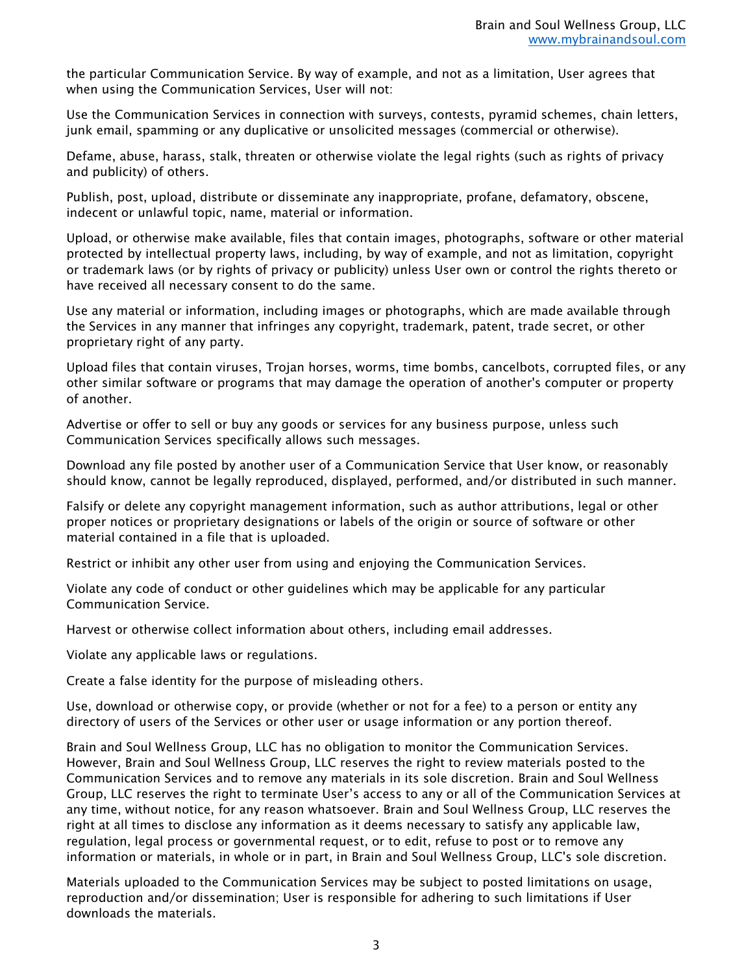the particular Communication Service. By way of example, and not as a limitation, User agrees that when using the Communication Services, User will not:

Use the Communication Services in connection with surveys, contests, pyramid schemes, chain letters, junk email, spamming or any duplicative or unsolicited messages (commercial or otherwise).

Defame, abuse, harass, stalk, threaten or otherwise violate the legal rights (such as rights of privacy and publicity) of others.

Publish, post, upload, distribute or disseminate any inappropriate, profane, defamatory, obscene, indecent or unlawful topic, name, material or information.

Upload, or otherwise make available, files that contain images, photographs, software or other material protected by intellectual property laws, including, by way of example, and not as limitation, copyright or trademark laws (or by rights of privacy or publicity) unless User own or control the rights thereto or have received all necessary consent to do the same.

Use any material or information, including images or photographs, which are made available through the Services in any manner that infringes any copyright, trademark, patent, trade secret, or other proprietary right of any party.

Upload files that contain viruses, Trojan horses, worms, time bombs, cancelbots, corrupted files, or any other similar software or programs that may damage the operation of another's computer or property of another.

Advertise or offer to sell or buy any goods or services for any business purpose, unless such Communication Services specifically allows such messages.

Download any file posted by another user of a Communication Service that User know, or reasonably should know, cannot be legally reproduced, displayed, performed, and/or distributed in such manner.

Falsify or delete any copyright management information, such as author attributions, legal or other proper notices or proprietary designations or labels of the origin or source of software or other material contained in a file that is uploaded.

Restrict or inhibit any other user from using and enjoying the Communication Services.

Violate any code of conduct or other guidelines which may be applicable for any particular Communication Service.

Harvest or otherwise collect information about others, including email addresses.

Violate any applicable laws or regulations.

Create a false identity for the purpose of misleading others.

Use, download or otherwise copy, or provide (whether or not for a fee) to a person or entity any directory of users of the Services or other user or usage information or any portion thereof.

Brain and Soul Wellness Group, LLC has no obligation to monitor the Communication Services. However, Brain and Soul Wellness Group, LLC reserves the right to review materials posted to the Communication Services and to remove any materials in its sole discretion. Brain and Soul Wellness Group, LLC reserves the right to terminate User's access to any or all of the Communication Services at any time, without notice, for any reason whatsoever. Brain and Soul Wellness Group, LLC reserves the right at all times to disclose any information as it deems necessary to satisfy any applicable law, regulation, legal process or governmental request, or to edit, refuse to post or to remove any information or materials, in whole or in part, in Brain and Soul Wellness Group, LLC's sole discretion.

Materials uploaded to the Communication Services may be subject to posted limitations on usage, reproduction and/or dissemination; User is responsible for adhering to such limitations if User downloads the materials.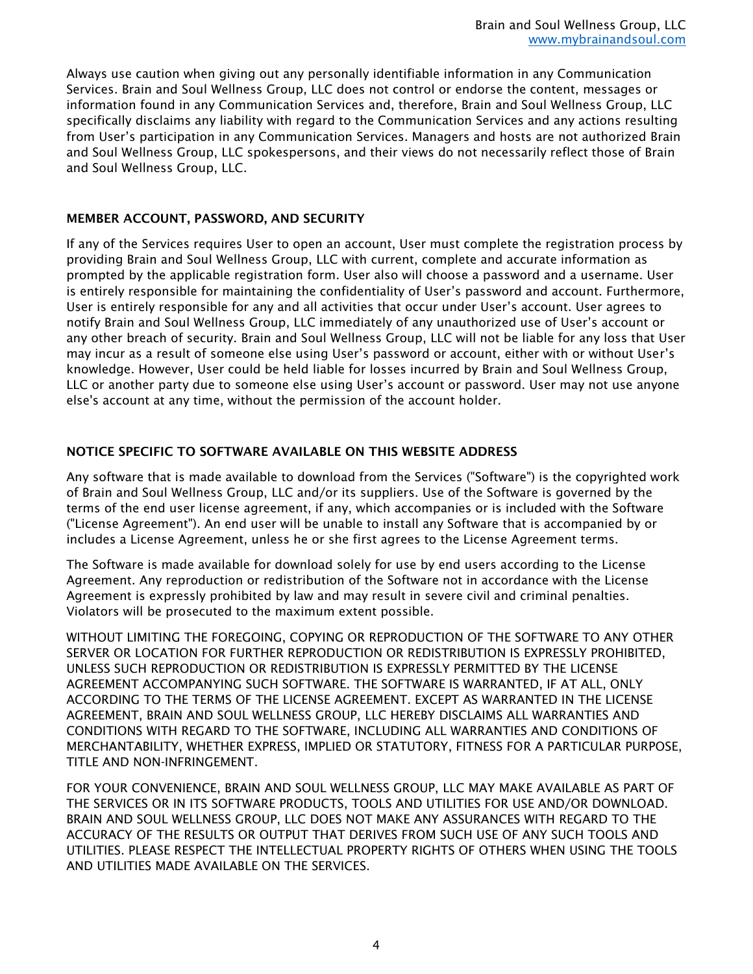Always use caution when giving out any personally identifiable information in any Communication Services. Brain and Soul Wellness Group, LLC does not control or endorse the content, messages or information found in any Communication Services and, therefore, Brain and Soul Wellness Group, LLC specifically disclaims any liability with regard to the Communication Services and any actions resulting from User's participation in any Communication Services. Managers and hosts are not authorized Brain and Soul Wellness Group, LLC spokespersons, and their views do not necessarily reflect those of Brain and Soul Wellness Group, LLC.

### MEMBER ACCOUNT, PASSWORD, AND SECURITY

If any of the Services requires User to open an account, User must complete the registration process by providing Brain and Soul Wellness Group, LLC with current, complete and accurate information as prompted by the applicable registration form. User also will choose a password and a username. User is entirely responsible for maintaining the confidentiality of User's password and account. Furthermore, User is entirely responsible for any and all activities that occur under User's account. User agrees to notify Brain and Soul Wellness Group, LLC immediately of any unauthorized use of User's account or any other breach of security. Brain and Soul Wellness Group, LLC will not be liable for any loss that User may incur as a result of someone else using User's password or account, either with or without User's knowledge. However, User could be held liable for losses incurred by Brain and Soul Wellness Group, LLC or another party due to someone else using User's account or password. User may not use anyone else's account at any time, without the permission of the account holder.

## NOTICE SPECIFIC TO SOFTWARE AVAILABLE ON THIS WEBSITE ADDRESS

Any software that is made available to download from the Services ("Software") is the copyrighted work of Brain and Soul Wellness Group, LLC and/or its suppliers. Use of the Software is governed by the terms of the end user license agreement, if any, which accompanies or is included with the Software ("License Agreement"). An end user will be unable to install any Software that is accompanied by or includes a License Agreement, unless he or she first agrees to the License Agreement terms.

The Software is made available for download solely for use by end users according to the License Agreement. Any reproduction or redistribution of the Software not in accordance with the License Agreement is expressly prohibited by law and may result in severe civil and criminal penalties. Violators will be prosecuted to the maximum extent possible.

WITHOUT LIMITING THE FOREGOING, COPYING OR REPRODUCTION OF THE SOFTWARE TO ANY OTHER SERVER OR LOCATION FOR FURTHER REPRODUCTION OR REDISTRIBUTION IS EXPRESSLY PROHIBITED, UNLESS SUCH REPRODUCTION OR REDISTRIBUTION IS EXPRESSLY PERMITTED BY THE LICENSE AGREEMENT ACCOMPANYING SUCH SOFTWARE. THE SOFTWARE IS WARRANTED, IF AT ALL, ONLY ACCORDING TO THE TERMS OF THE LICENSE AGREEMENT. EXCEPT AS WARRANTED IN THE LICENSE AGREEMENT, BRAIN AND SOUL WELLNESS GROUP, LLC HEREBY DISCLAIMS ALL WARRANTIES AND CONDITIONS WITH REGARD TO THE SOFTWARE, INCLUDING ALL WARRANTIES AND CONDITIONS OF MERCHANTABILITY, WHETHER EXPRESS, IMPLIED OR STATUTORY, FITNESS FOR A PARTICULAR PURPOSE, TITLE AND NON-INFRINGEMENT.

FOR YOUR CONVENIENCE, BRAIN AND SOUL WELLNESS GROUP, LLC MAY MAKE AVAILABLE AS PART OF THE SERVICES OR IN ITS SOFTWARE PRODUCTS, TOOLS AND UTILITIES FOR USE AND/OR DOWNLOAD. BRAIN AND SOUL WELLNESS GROUP, LLC DOES NOT MAKE ANY ASSURANCES WITH REGARD TO THE ACCURACY OF THE RESULTS OR OUTPUT THAT DERIVES FROM SUCH USE OF ANY SUCH TOOLS AND UTILITIES. PLEASE RESPECT THE INTELLECTUAL PROPERTY RIGHTS OF OTHERS WHEN USING THE TOOLS AND UTILITIES MADE AVAILABLE ON THE SERVICES.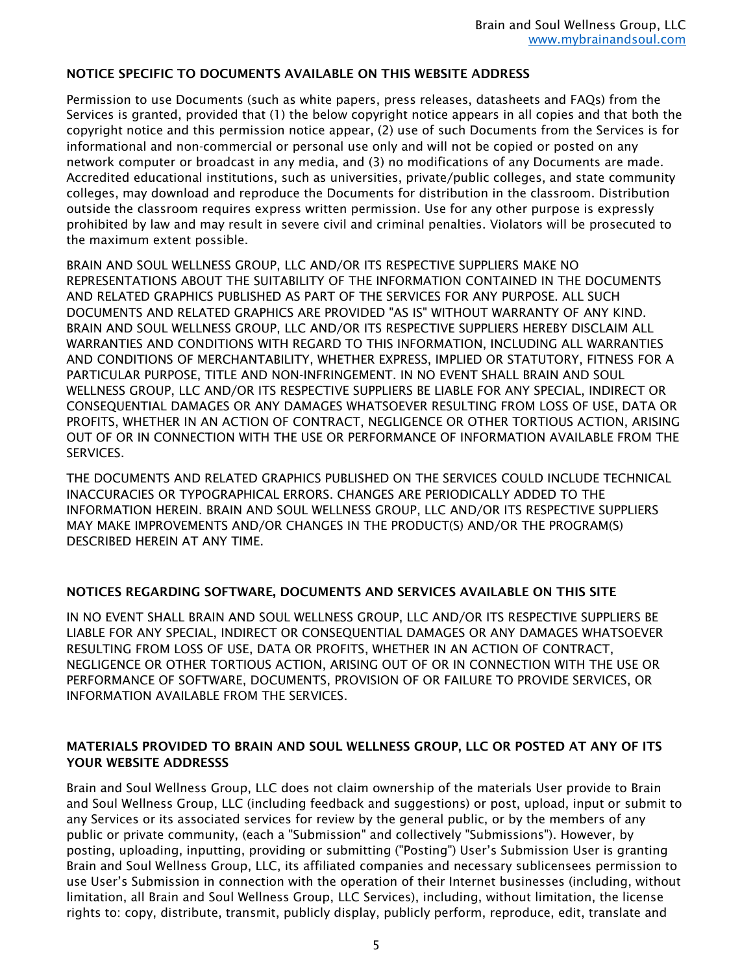## NOTICE SPECIFIC TO DOCUMENTS AVAILABLE ON THIS WEBSITE ADDRESS

Permission to use Documents (such as white papers, press releases, datasheets and FAQs) from the Services is granted, provided that (1) the below copyright notice appears in all copies and that both the copyright notice and this permission notice appear, (2) use of such Documents from the Services is for informational and non-commercial or personal use only and will not be copied or posted on any network computer or broadcast in any media, and (3) no modifications of any Documents are made. Accredited educational institutions, such as universities, private/public colleges, and state community colleges, may download and reproduce the Documents for distribution in the classroom. Distribution outside the classroom requires express written permission. Use for any other purpose is expressly prohibited by law and may result in severe civil and criminal penalties. Violators will be prosecuted to the maximum extent possible.

BRAIN AND SOUL WELLNESS GROUP, LLC AND/OR ITS RESPECTIVE SUPPLIERS MAKE NO REPRESENTATIONS ABOUT THE SUITABILITY OF THE INFORMATION CONTAINED IN THE DOCUMENTS AND RELATED GRAPHICS PUBLISHED AS PART OF THE SERVICES FOR ANY PURPOSE. ALL SUCH DOCUMENTS AND RELATED GRAPHICS ARE PROVIDED "AS IS" WITHOUT WARRANTY OF ANY KIND. BRAIN AND SOUL WELLNESS GROUP, LLC AND/OR ITS RESPECTIVE SUPPLIERS HEREBY DISCLAIM ALL WARRANTIES AND CONDITIONS WITH REGARD TO THIS INFORMATION, INCLUDING ALL WARRANTIES AND CONDITIONS OF MERCHANTABILITY, WHETHER EXPRESS, IMPLIED OR STATUTORY, FITNESS FOR A PARTICULAR PURPOSE, TITLE AND NON-INFRINGEMENT. IN NO EVENT SHALL BRAIN AND SOUL WELLNESS GROUP, LLC AND/OR ITS RESPECTIVE SUPPLIERS BE LIABLE FOR ANY SPECIAL, INDIRECT OR CONSEQUENTIAL DAMAGES OR ANY DAMAGES WHATSOEVER RESULTING FROM LOSS OF USE, DATA OR PROFITS, WHETHER IN AN ACTION OF CONTRACT, NEGLIGENCE OR OTHER TORTIOUS ACTION, ARISING OUT OF OR IN CONNECTION WITH THE USE OR PERFORMANCE OF INFORMATION AVAILABLE FROM THE SERVICES.

THE DOCUMENTS AND RELATED GRAPHICS PUBLISHED ON THE SERVICES COULD INCLUDE TECHNICAL INACCURACIES OR TYPOGRAPHICAL ERRORS. CHANGES ARE PERIODICALLY ADDED TO THE INFORMATION HEREIN. BRAIN AND SOUL WELLNESS GROUP, LLC AND/OR ITS RESPECTIVE SUPPLIERS MAY MAKE IMPROVEMENTS AND/OR CHANGES IN THE PRODUCT(S) AND/OR THE PROGRAM(S) DESCRIBED HEREIN AT ANY TIME.

### NOTICES REGARDING SOFTWARE, DOCUMENTS AND SERVICES AVAILABLE ON THIS SITE

IN NO EVENT SHALL BRAIN AND SOUL WELLNESS GROUP, LLC AND/OR ITS RESPECTIVE SUPPLIERS BE LIABLE FOR ANY SPECIAL, INDIRECT OR CONSEQUENTIAL DAMAGES OR ANY DAMAGES WHATSOEVER RESULTING FROM LOSS OF USE, DATA OR PROFITS, WHETHER IN AN ACTION OF CONTRACT, NEGLIGENCE OR OTHER TORTIOUS ACTION, ARISING OUT OF OR IN CONNECTION WITH THE USE OR PERFORMANCE OF SOFTWARE, DOCUMENTS, PROVISION OF OR FAILURE TO PROVIDE SERVICES, OR INFORMATION AVAILABLE FROM THE SERVICES.

## MATERIALS PROVIDED TO BRAIN AND SOUL WELLNESS GROUP, LLC OR POSTED AT ANY OF ITS YOUR WEBSITE ADDRESSS

Brain and Soul Wellness Group, LLC does not claim ownership of the materials User provide to Brain and Soul Wellness Group, LLC (including feedback and suggestions) or post, upload, input or submit to any Services or its associated services for review by the general public, or by the members of any public or private community, (each a "Submission" and collectively "Submissions"). However, by posting, uploading, inputting, providing or submitting ("Posting") User's Submission User is granting Brain and Soul Wellness Group, LLC, its affiliated companies and necessary sublicensees permission to use User's Submission in connection with the operation of their Internet businesses (including, without limitation, all Brain and Soul Wellness Group, LLC Services), including, without limitation, the license rights to: copy, distribute, transmit, publicly display, publicly perform, reproduce, edit, translate and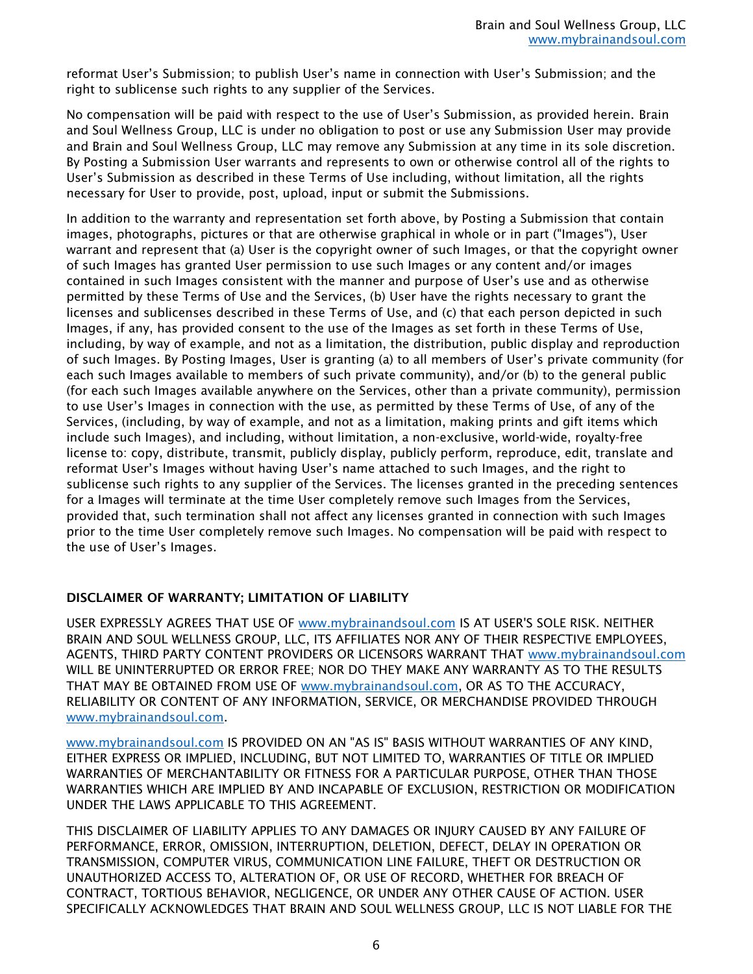reformat User's Submission; to publish User's name in connection with User's Submission; and the right to sublicense such rights to any supplier of the Services.

No compensation will be paid with respect to the use of User's Submission, as provided herein. Brain and Soul Wellness Group, LLC is under no obligation to post or use any Submission User may provide and Brain and Soul Wellness Group, LLC may remove any Submission at any time in its sole discretion. By Posting a Submission User warrants and represents to own or otherwise control all of the rights to User's Submission as described in these Terms of Use including, without limitation, all the rights necessary for User to provide, post, upload, input or submit the Submissions.

In addition to the warranty and representation set forth above, by Posting a Submission that contain images, photographs, pictures or that are otherwise graphical in whole or in part ("Images"), User warrant and represent that (a) User is the copyright owner of such Images, or that the copyright owner of such Images has granted User permission to use such Images or any content and/or images contained in such Images consistent with the manner and purpose of User's use and as otherwise permitted by these Terms of Use and the Services, (b) User have the rights necessary to grant the licenses and sublicenses described in these Terms of Use, and (c) that each person depicted in such Images, if any, has provided consent to the use of the Images as set forth in these Terms of Use, including, by way of example, and not as a limitation, the distribution, public display and reproduction of such Images. By Posting Images, User is granting (a) to all members of User's private community (for each such Images available to members of such private community), and/or (b) to the general public (for each such Images available anywhere on the Services, other than a private community), permission to use User's Images in connection with the use, as permitted by these Terms of Use, of any of the Services, (including, by way of example, and not as a limitation, making prints and gift items which include such Images), and including, without limitation, a non-exclusive, world-wide, royalty-free license to: copy, distribute, transmit, publicly display, publicly perform, reproduce, edit, translate and reformat User's Images without having User's name attached to such Images, and the right to sublicense such rights to any supplier of the Services. The licenses granted in the preceding sentences for a Images will terminate at the time User completely remove such Images from the Services, provided that, such termination shall not affect any licenses granted in connection with such Images prior to the time User completely remove such Images. No compensation will be paid with respect to the use of User's Images.

### DISCLAIMER OF WARRANTY; LIMITATION OF LIABILITY

USER EXPRESSLY AGREES THAT USE OF [www.mybrainandsoul.com](http://www.mybrainandsoul.com/) IS AT USER'S SOLE RISK. NEITHER BRAIN AND SOUL WELLNESS GROUP, LLC, ITS AFFILIATES NOR ANY OF THEIR RESPECTIVE EMPLOYEES, AGENTS, THIRD PARTY CONTENT PROVIDERS OR LICENSORS WARRANT THAT [www.mybrainandsoul.com](http://www.mybrainandsoul.com/) WILL BE UNINTERRUPTED OR ERROR FREE; NOR DO THEY MAKE ANY WARRANTY AS TO THE RESULTS THAT MAY BE OBTAINED FROM USE OF [www.mybrainandsoul.com,](http://www.mybrainandsoul.com/) OR AS TO THE ACCURACY, RELIABILITY OR CONTENT OF ANY INFORMATION, SERVICE, OR MERCHANDISE PROVIDED THROUGH [www.mybrainandsoul.com.](http://www.mybrainandsoul.com/)

[www.mybrainandsoul.com](http://www.mybrainandsoul.com/) IS PROVIDED ON AN "AS IS" BASIS WITHOUT WARRANTIES OF ANY KIND, EITHER EXPRESS OR IMPLIED, INCLUDING, BUT NOT LIMITED TO, WARRANTIES OF TITLE OR IMPLIED WARRANTIES OF MERCHANTABILITY OR FITNESS FOR A PARTICULAR PURPOSE, OTHER THAN THOSE WARRANTIES WHICH ARE IMPLIED BY AND INCAPABLE OF EXCLUSION, RESTRICTION OR MODIFICATION UNDER THE LAWS APPLICABLE TO THIS AGREEMENT.

THIS DISCLAIMER OF LIABILITY APPLIES TO ANY DAMAGES OR INJURY CAUSED BY ANY FAILURE OF PERFORMANCE, ERROR, OMISSION, INTERRUPTION, DELETION, DEFECT, DELAY IN OPERATION OR TRANSMISSION, COMPUTER VIRUS, COMMUNICATION LINE FAILURE, THEFT OR DESTRUCTION OR UNAUTHORIZED ACCESS TO, ALTERATION OF, OR USE OF RECORD, WHETHER FOR BREACH OF CONTRACT, TORTIOUS BEHAVIOR, NEGLIGENCE, OR UNDER ANY OTHER CAUSE OF ACTION. USER SPECIFICALLY ACKNOWLEDGES THAT BRAIN AND SOUL WELLNESS GROUP, LLC IS NOT LIABLE FOR THE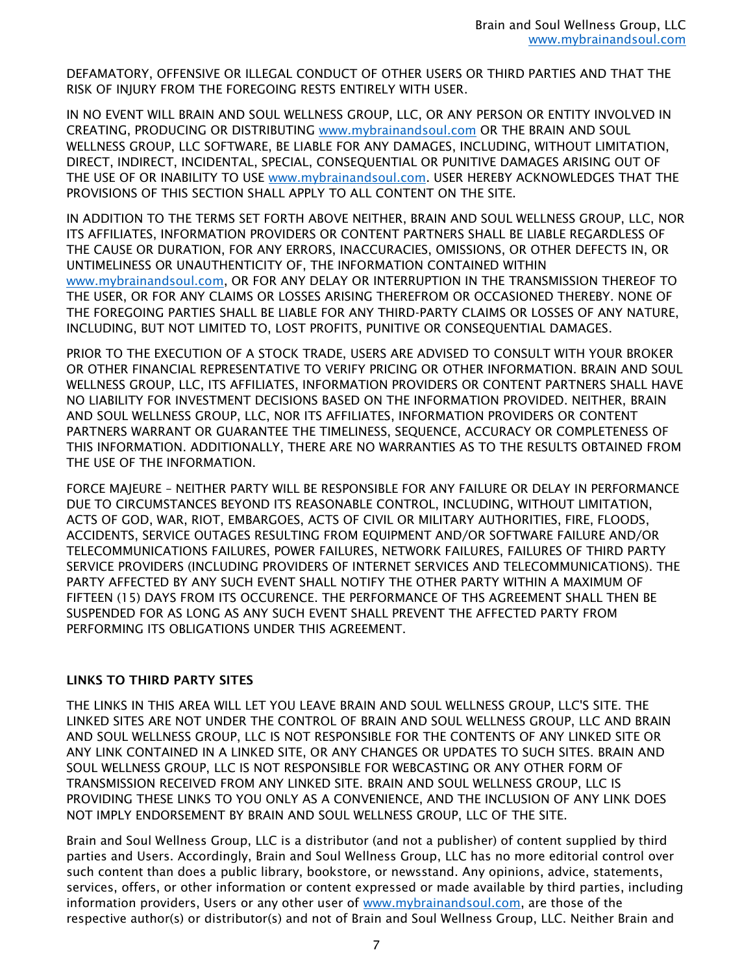DEFAMATORY, OFFENSIVE OR ILLEGAL CONDUCT OF OTHER USERS OR THIRD PARTIES AND THAT THE RISK OF INJURY FROM THE FOREGOING RESTS ENTIRELY WITH USER.

IN NO EVENT WILL BRAIN AND SOUL WELLNESS GROUP, LLC, OR ANY PERSON OR ENTITY INVOLVED IN CREATING, PRODUCING OR DISTRIBUTING [www.mybrainandsoul.com](http://www.mybrainandsoul.com/) OR THE BRAIN AND SOUL WELLNESS GROUP, LLC SOFTWARE, BE LIABLE FOR ANY DAMAGES, INCLUDING, WITHOUT LIMITATION, DIRECT, INDIRECT, INCIDENTAL, SPECIAL, CONSEQUENTIAL OR PUNITIVE DAMAGES ARISING OUT OF THE USE OF OR INABILITY TO USE [www.mybrainandsoul.com.](http://www.mybrainandsoul.com/) USER HEREBY ACKNOWLEDGES THAT THE PROVISIONS OF THIS SECTION SHALL APPLY TO ALL CONTENT ON THE SITE.

IN ADDITION TO THE TERMS SET FORTH ABOVE NEITHER, BRAIN AND SOUL WELLNESS GROUP, LLC, NOR ITS AFFILIATES, INFORMATION PROVIDERS OR CONTENT PARTNERS SHALL BE LIABLE REGARDLESS OF THE CAUSE OR DURATION, FOR ANY ERRORS, INACCURACIES, OMISSIONS, OR OTHER DEFECTS IN, OR UNTIMELINESS OR UNAUTHENTICITY OF, THE INFORMATION CONTAINED WITHIN [www.mybrainandsoul.com,](http://www.mybrainandsoul.com/) OR FOR ANY DELAY OR INTERRUPTION IN THE TRANSMISSION THEREOF TO THE USER, OR FOR ANY CLAIMS OR LOSSES ARISING THEREFROM OR OCCASIONED THEREBY. NONE OF THE FOREGOING PARTIES SHALL BE LIABLE FOR ANY THIRD-PARTY CLAIMS OR LOSSES OF ANY NATURE, INCLUDING, BUT NOT LIMITED TO, LOST PROFITS, PUNITIVE OR CONSEQUENTIAL DAMAGES.

PRIOR TO THE EXECUTION OF A STOCK TRADE, USERS ARE ADVISED TO CONSULT WITH YOUR BROKER OR OTHER FINANCIAL REPRESENTATIVE TO VERIFY PRICING OR OTHER INFORMATION. BRAIN AND SOUL WELLNESS GROUP, LLC, ITS AFFILIATES, INFORMATION PROVIDERS OR CONTENT PARTNERS SHALL HAVE NO LIABILITY FOR INVESTMENT DECISIONS BASED ON THE INFORMATION PROVIDED. NEITHER, BRAIN AND SOUL WELLNESS GROUP, LLC, NOR ITS AFFILIATES, INFORMATION PROVIDERS OR CONTENT PARTNERS WARRANT OR GUARANTEE THE TIMELINESS, SEQUENCE, ACCURACY OR COMPLETENESS OF THIS INFORMATION. ADDITIONALLY, THERE ARE NO WARRANTIES AS TO THE RESULTS OBTAINED FROM THE USE OF THE INFORMATION.

FORCE MAJEURE – NEITHER PARTY WILL BE RESPONSIBLE FOR ANY FAILURE OR DELAY IN PERFORMANCE DUE TO CIRCUMSTANCES BEYOND ITS REASONABLE CONTROL, INCLUDING, WITHOUT LIMITATION, ACTS OF GOD, WAR, RIOT, EMBARGOES, ACTS OF CIVIL OR MILITARY AUTHORITIES, FIRE, FLOODS, ACCIDENTS, SERVICE OUTAGES RESULTING FROM EQUIPMENT AND/OR SOFTWARE FAILURE AND/OR TELECOMMUNICATIONS FAILURES, POWER FAILURES, NETWORK FAILURES, FAILURES OF THIRD PARTY SERVICE PROVIDERS (INCLUDING PROVIDERS OF INTERNET SERVICES AND TELECOMMUNICATIONS). THE PARTY AFFECTED BY ANY SUCH EVENT SHALL NOTIFY THE OTHER PARTY WITHIN A MAXIMUM OF FIFTEEN (15) DAYS FROM ITS OCCURENCE. THE PERFORMANCE OF THS AGREEMENT SHALL THEN BE SUSPENDED FOR AS LONG AS ANY SUCH EVENT SHALL PREVENT THE AFFECTED PARTY FROM PERFORMING ITS OBLIGATIONS UNDER THIS AGREEMENT.

### LINKS TO THIRD PARTY SITES

THE LINKS IN THIS AREA WILL LET YOU LEAVE BRAIN AND SOUL WELLNESS GROUP, LLC'S SITE. THE LINKED SITES ARE NOT UNDER THE CONTROL OF BRAIN AND SOUL WELLNESS GROUP, LLC AND BRAIN AND SOUL WELLNESS GROUP, LLC IS NOT RESPONSIBLE FOR THE CONTENTS OF ANY LINKED SITE OR ANY LINK CONTAINED IN A LINKED SITE, OR ANY CHANGES OR UPDATES TO SUCH SITES. BRAIN AND SOUL WELLNESS GROUP, LLC IS NOT RESPONSIBLE FOR WEBCASTING OR ANY OTHER FORM OF TRANSMISSION RECEIVED FROM ANY LINKED SITE. BRAIN AND SOUL WELLNESS GROUP, LLC IS PROVIDING THESE LINKS TO YOU ONLY AS A CONVENIENCE, AND THE INCLUSION OF ANY LINK DOES NOT IMPLY ENDORSEMENT BY BRAIN AND SOUL WELLNESS GROUP, LLC OF THE SITE.

Brain and Soul Wellness Group, LLC is a distributor (and not a publisher) of content supplied by third parties and Users. Accordingly, Brain and Soul Wellness Group, LLC has no more editorial control over such content than does a public library, bookstore, or newsstand. Any opinions, advice, statements, services, offers, or other information or content expressed or made available by third parties, including information providers, Users or any other user of [www.mybrainandsoul.com,](http://www.mybrainandsoul.com/) are those of the respective author(s) or distributor(s) and not of Brain and Soul Wellness Group, LLC. Neither Brain and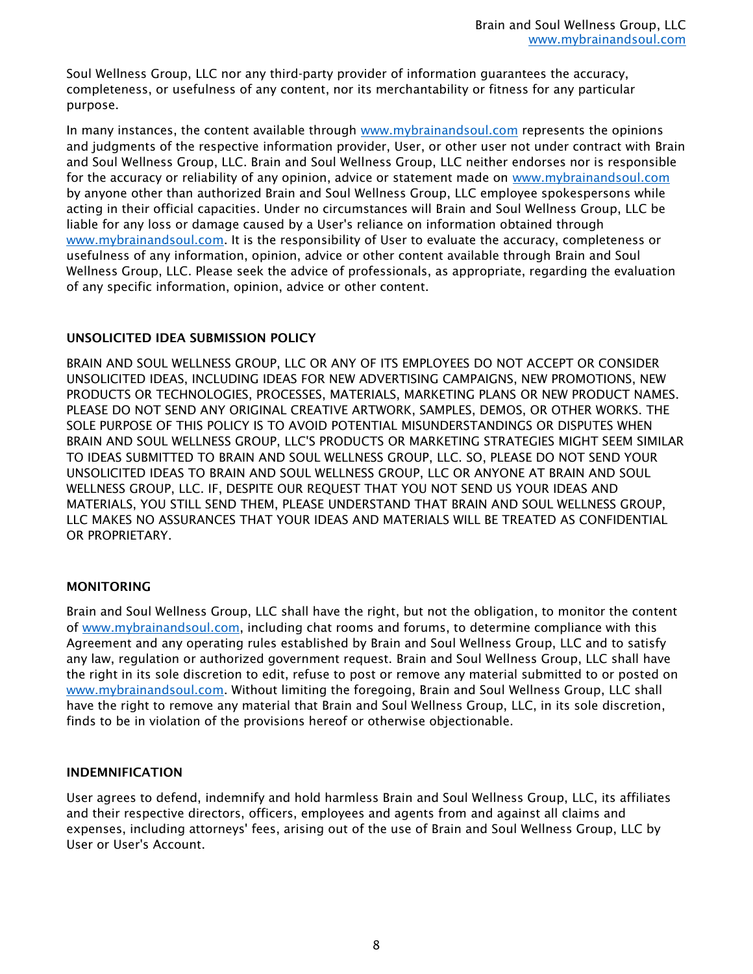Soul Wellness Group, LLC nor any third-party provider of information guarantees the accuracy, completeness, or usefulness of any content, nor its merchantability or fitness for any particular purpose.

In many instances, the content available through [www.mybrainandsoul.com](http://www.mybrainandsoul.com/) represents the opinions and judgments of the respective information provider, User, or other user not under contract with Brain and Soul Wellness Group, LLC. Brain and Soul Wellness Group, LLC neither endorses nor is responsible for the accuracy or reliability of any opinion, advice or statement made on [www.mybrainandsoul.com](http://www.mybrainandsoul.com/) by anyone other than authorized Brain and Soul Wellness Group, LLC employee spokespersons while acting in their official capacities. Under no circumstances will Brain and Soul Wellness Group, LLC be liable for any loss or damage caused by a User's reliance on information obtained through [www.mybrainandsoul.com.](http://www.mybrainandsoul.com/) It is the responsibility of User to evaluate the accuracy, completeness or usefulness of any information, opinion, advice or other content available through Brain and Soul Wellness Group, LLC. Please seek the advice of professionals, as appropriate, regarding the evaluation of any specific information, opinion, advice or other content.

## UNSOLICITED IDEA SUBMISSION POLICY

BRAIN AND SOUL WELLNESS GROUP, LLC OR ANY OF ITS EMPLOYEES DO NOT ACCEPT OR CONSIDER UNSOLICITED IDEAS, INCLUDING IDEAS FOR NEW ADVERTISING CAMPAIGNS, NEW PROMOTIONS, NEW PRODUCTS OR TECHNOLOGIES, PROCESSES, MATERIALS, MARKETING PLANS OR NEW PRODUCT NAMES. PLEASE DO NOT SEND ANY ORIGINAL CREATIVE ARTWORK, SAMPLES, DEMOS, OR OTHER WORKS. THE SOLE PURPOSE OF THIS POLICY IS TO AVOID POTENTIAL MISUNDERSTANDINGS OR DISPUTES WHEN BRAIN AND SOUL WELLNESS GROUP, LLC'S PRODUCTS OR MARKETING STRATEGIES MIGHT SEEM SIMILAR TO IDEAS SUBMITTED TO BRAIN AND SOUL WELLNESS GROUP, LLC. SO, PLEASE DO NOT SEND YOUR UNSOLICITED IDEAS TO BRAIN AND SOUL WELLNESS GROUP, LLC OR ANYONE AT BRAIN AND SOUL WELLNESS GROUP, LLC. IF, DESPITE OUR REQUEST THAT YOU NOT SEND US YOUR IDEAS AND MATERIALS, YOU STILL SEND THEM, PLEASE UNDERSTAND THAT BRAIN AND SOUL WELLNESS GROUP, LLC MAKES NO ASSURANCES THAT YOUR IDEAS AND MATERIALS WILL BE TREATED AS CONFIDENTIAL OR PROPRIETARY.

### MONITORING

Brain and Soul Wellness Group, LLC shall have the right, but not the obligation, to monitor the content of [www.mybrainandsoul.com,](http://www.mybrainandsoul.com/) including chat rooms and forums, to determine compliance with this Agreement and any operating rules established by Brain and Soul Wellness Group, LLC and to satisfy any law, regulation or authorized government request. Brain and Soul Wellness Group, LLC shall have the right in its sole discretion to edit, refuse to post or remove any material submitted to or posted on [www.mybrainandsoul.com.](http://www.mybrainandsoul.com/) Without limiting the foregoing, Brain and Soul Wellness Group, LLC shall have the right to remove any material that Brain and Soul Wellness Group, LLC, in its sole discretion, finds to be in violation of the provisions hereof or otherwise objectionable.

### INDEMNIFICATION

User agrees to defend, indemnify and hold harmless Brain and Soul Wellness Group, LLC, its affiliates and their respective directors, officers, employees and agents from and against all claims and expenses, including attorneys' fees, arising out of the use of Brain and Soul Wellness Group, LLC by User or User's Account.